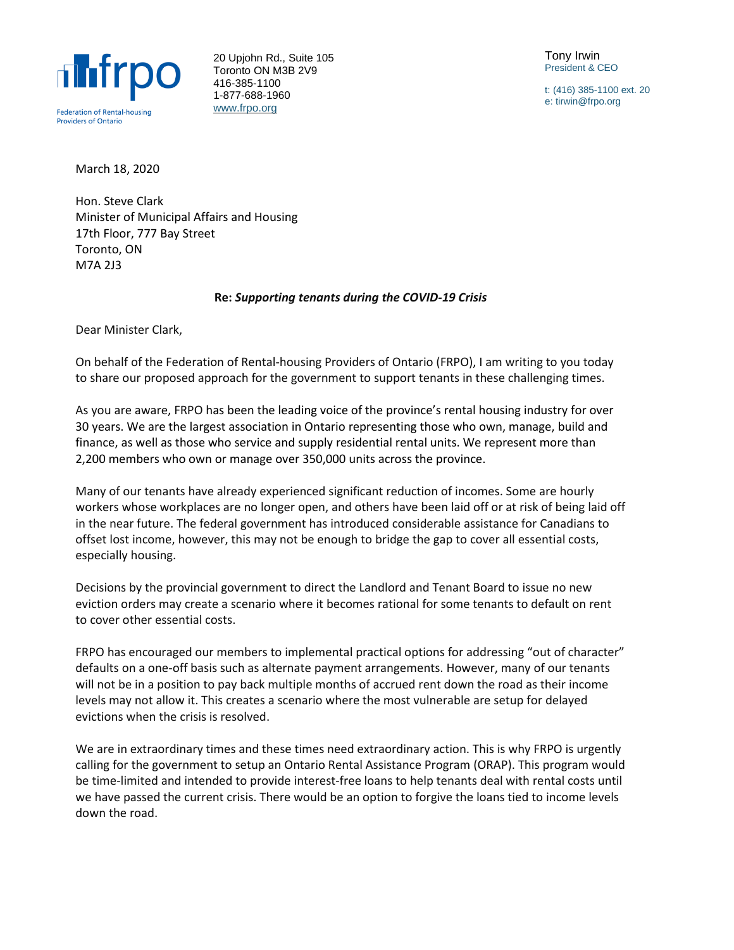

20 Upjohn Rd., Suite 105 Toronto ON M3B 2V9 416-385-1100 1-877-688-1960 [www.frpo.org](http://www.frpo.org/)

Tony Irwin President & CEO

t: (416) 385-1100 ext. 20 e: tirwin@frpo.org

March 18, 2020

Hon. Steve Clark Minister of Municipal Affairs and Housing 17th Floor, 777 Bay Street Toronto, ON M7A 2J3

### **Re:** *Supporting tenants during the COVID-19 Crisis*

Dear Minister Clark,

On behalf of the Federation of Rental-housing Providers of Ontario (FRPO), I am writing to you today to share our proposed approach for the government to support tenants in these challenging times.

As you are aware, FRPO has been the leading voice of the province's rental housing industry for over 30 years. We are the largest association in Ontario representing those who own, manage, build and finance, as well as those who service and supply residential rental units. We represent more than 2,200 members who own or manage over 350,000 units across the province.

Many of our tenants have already experienced significant reduction of incomes. Some are hourly workers whose workplaces are no longer open, and others have been laid off or at risk of being laid off in the near future. The federal government has introduced considerable assistance for Canadians to offset lost income, however, this may not be enough to bridge the gap to cover all essential costs, especially housing.

Decisions by the provincial government to direct the Landlord and Tenant Board to issue no new eviction orders may create a scenario where it becomes rational for some tenants to default on rent to cover other essential costs.

FRPO has encouraged our members to implemental practical options for addressing "out of character" defaults on a one-off basis such as alternate payment arrangements. However, many of our tenants will not be in a position to pay back multiple months of accrued rent down the road as their income levels may not allow it. This creates a scenario where the most vulnerable are setup for delayed evictions when the crisis is resolved.

We are in extraordinary times and these times need extraordinary action. This is why FRPO is urgently calling for the government to setup an Ontario Rental Assistance Program (ORAP). This program would be time-limited and intended to provide interest-free loans to help tenants deal with rental costs until we have passed the current crisis. There would be an option to forgive the loans tied to income levels down the road.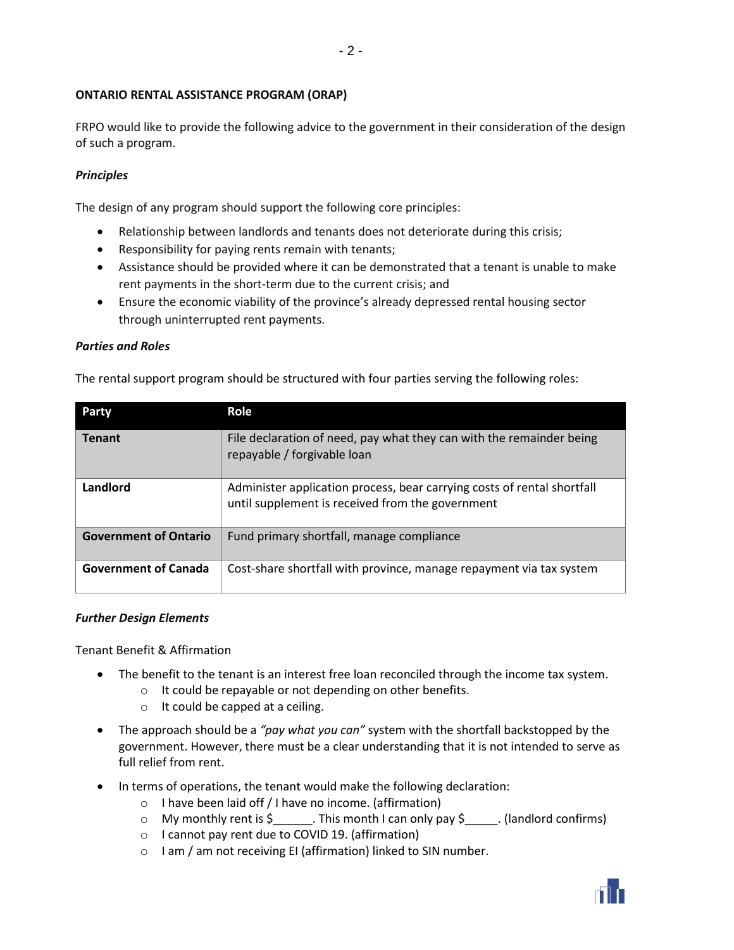# **ONTARIO RENTAL ASSISTANCE PROGRAM (ORAP)**

FRPO would like to provide the following advice to the government in their consideration of the design of such a program.

# *Principles*

The design of any program should support the following core principles:

- Relationship between landlords and tenants does not deteriorate during this crisis;
- Responsibility for paying rents remain with tenants;
- Assistance should be provided where it can be demonstrated that a tenant is unable to make rent payments in the short-term due to the current crisis; and
- Ensure the economic viability of the province's already depressed rental housing sector through uninterrupted rent payments.

### *Parties and Roles*

The rental support program should be structured with four parties serving the following roles:

| Party                        | Role                                                                                                                        |
|------------------------------|-----------------------------------------------------------------------------------------------------------------------------|
| <b>Tenant</b>                | File declaration of need, pay what they can with the remainder being<br>repayable / forgivable loan                         |
| Landlord                     | Administer application process, bear carrying costs of rental shortfall<br>until supplement is received from the government |
| <b>Government of Ontario</b> | Fund primary shortfall, manage compliance                                                                                   |
| <b>Government of Canada</b>  | Cost-share shortfall with province, manage repayment via tax system                                                         |

### *Further Design Elements*

Tenant Benefit & Affirmation

- The benefit to the tenant is an interest free loan reconciled through the income tax system.
	- o It could be repayable or not depending on other benefits.
	- o It could be capped at a ceiling.
- The approach should be a *"pay what you can"* system with the shortfall backstopped by the government. However, there must be a clear understanding that it is not intended to serve as full relief from rent.
- In terms of operations, the tenant would make the following declaration:
	- o I have been laid off / I have no income. (affirmation)
	- $\circ$  My monthly rent is \$ This month I can only pay \$ (landlord confirms)
	- o I cannot pay rent due to COVID 19. (affirmation)
	- o I am / am not receiving EI (affirmation) linked to SIN number.

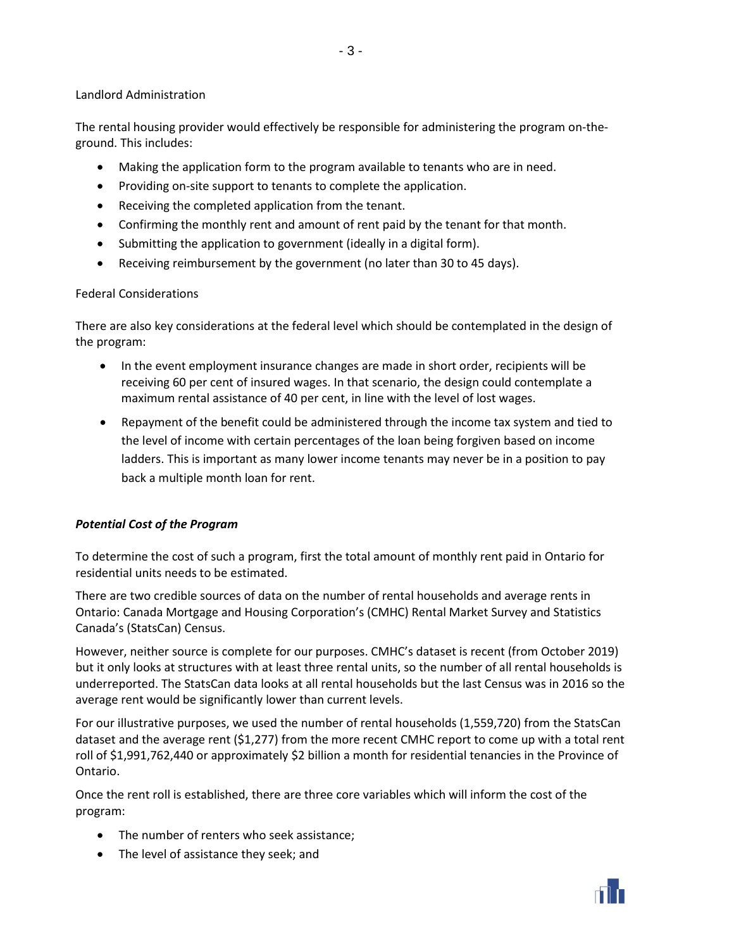### Landlord Administration

The rental housing provider would effectively be responsible for administering the program on-theground. This includes:

- 3 -

- Making the application form to the program available to tenants who are in need.
- Providing on-site support to tenants to complete the application.
- Receiving the completed application from the tenant.
- Confirming the monthly rent and amount of rent paid by the tenant for that month.
- Submitting the application to government (ideally in a digital form).
- Receiving reimbursement by the government (no later than 30 to 45 days).

### Federal Considerations

There are also key considerations at the federal level which should be contemplated in the design of the program:

- In the event employment insurance changes are made in short order, recipients will be receiving 60 per cent of insured wages. In that scenario, the design could contemplate a maximum rental assistance of 40 per cent, in line with the level of lost wages.
- Repayment of the benefit could be administered through the income tax system and tied to the level of income with certain percentages of the loan being forgiven based on income ladders. This is important as many lower income tenants may never be in a position to pay back a multiple month loan for rent.

### *Potential Cost of the Program*

To determine the cost of such a program, first the total amount of monthly rent paid in Ontario for residential units needs to be estimated.

There are two credible sources of data on the number of rental households and average rents in Ontario: Canada Mortgage and Housing Corporation's (CMHC) Rental Market Survey and Statistics Canada's (StatsCan) Census.

However, neither source is complete for our purposes. CMHC's dataset is recent (from October 2019) but it only looks at structures with at least three rental units, so the number of all rental households is underreported. The StatsCan data looks at all rental households but the last Census was in 2016 so the average rent would be significantly lower than current levels.

For our illustrative purposes, we used the number of rental households (1,559,720) from the StatsCan dataset and the average rent (\$1,277) from the more recent CMHC report to come up with a total rent roll of \$1,991,762,440 or approximately \$2 billion a month for residential tenancies in the Province of Ontario.

Once the rent roll is established, there are three core variables which will inform the cost of the program:

- The number of renters who seek assistance;
- The level of assistance they seek; and

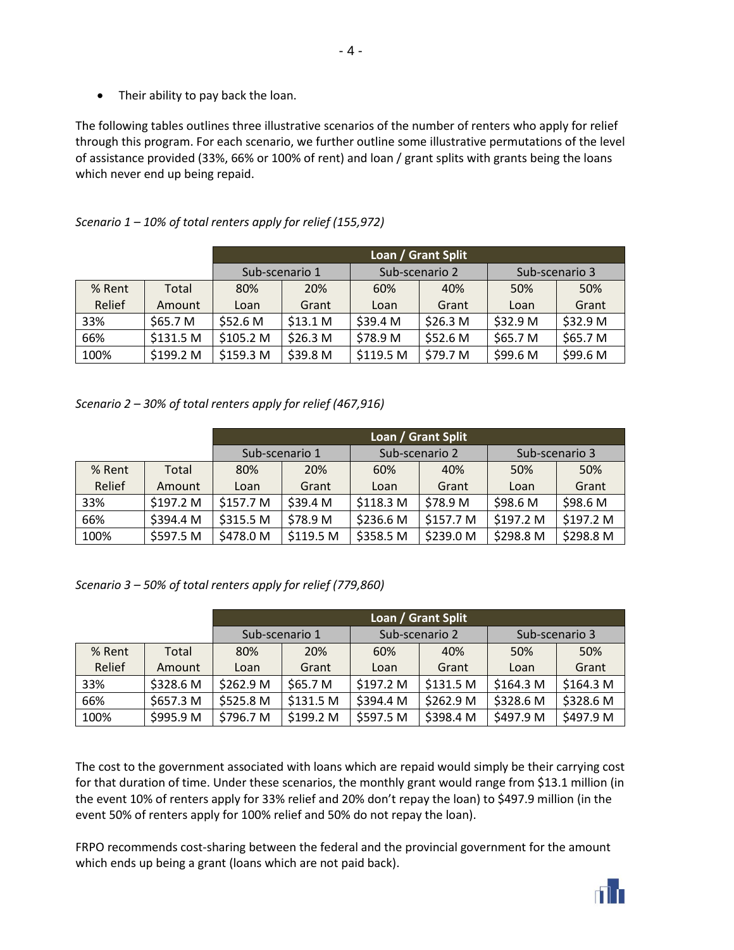• Their ability to pay back the loan.

The following tables outlines three illustrative scenarios of the number of renters who apply for relief through this program. For each scenario, we further outline some illustrative permutations of the level of assistance provided (33%, 66% or 100% of rent) and loan / grant splits with grants being the loans which never end up being repaid.

- 4 -

|        |           | Loan / Grant Split |                     |                |                     |                |          |
|--------|-----------|--------------------|---------------------|----------------|---------------------|----------------|----------|
|        |           | Sub-scenario 1     |                     | Sub-scenario 2 |                     | Sub-scenario 3 |          |
| % Rent | Total     | 80%                | 20%                 | 60%            | 40%                 | 50%            | 50%      |
| Relief | Amount    | Loan               | Grant               | Loan           | Grant               | Loan           | Grant    |
| 33%    | \$65.7 M  | \$52.6 M           | \$13.1 <sub>M</sub> | \$39.4 M       | \$26.3 <sub>M</sub> | \$32.9 M       | \$32.9 M |
| 66%    | \$131.5 M | \$105.2 M          | \$26.3 <sub>M</sub> | \$78.9 M       | \$52.6 <sub>M</sub> | \$65.7 M       | \$65.7 M |
| 100%   | \$199.2 M | \$159.3 M          | \$39.8 M            | \$119.5 M      | \$79.7 M            | \$99.6 M       | \$99.6 M |

*Scenario 1 – 10% of total renters apply for relief (155,972)*

*Scenario 2 – 30% of total renters apply for relief (467,916)*

|        |           | Loan / Grant Split |            |                |           |                |           |
|--------|-----------|--------------------|------------|----------------|-----------|----------------|-----------|
|        |           | Sub-scenario 1     |            | Sub-scenario 2 |           | Sub-scenario 3 |           |
| % Rent | Total     | 80%                | <b>20%</b> | 60%            | 40%       | 50%            | 50%       |
| Relief | Amount    | Loan               | Grant      | Loan           | Grant     | Loan           | Grant     |
| 33%    | \$197.2 M | \$157.7 M          | \$39.4 M   | \$118.3 M      | \$78.9 M  | \$98.6 M       | \$98.6 M  |
| 66%    | \$394.4 M | \$315.5 M          | \$78.9 M   | \$236.6 M      | \$157.7 M | \$197.2 M      | \$197.2 M |
| 100%   | \$597.5 M | \$478.0 M          | \$119.5 M  | \$358.5 M      | \$239.0 M | \$298.8 M      | \$298.8 M |

*Scenario 3 – 50% of total renters apply for relief (779,860)*

|        |           | Loan / Grant Split |           |                |           |                      |                      |
|--------|-----------|--------------------|-----------|----------------|-----------|----------------------|----------------------|
|        |           | Sub-scenario 1     |           | Sub-scenario 2 |           | Sub-scenario 3       |                      |
| % Rent | Total     | 80%                | 20%       | 60%            | 40%       | 50%                  | 50%                  |
| Relief | Amount    | Loan               | Grant     | Loan           | Grant     | Loan                 | Grant                |
| 33%    | \$328.6 M | \$262.9 M          | \$65.7 M  | \$197.2 M      | \$131.5 M | \$164.3 <sub>M</sub> | \$164.3 <sub>M</sub> |
| 66%    | \$657.3 M | \$525.8 M          | \$131.5 M | \$394.4 M      | \$262.9 M | \$328.6 M            | \$328.6 M            |
| 100%   | \$995.9 M | \$796.7 M          | \$199.2 M | \$597.5 M      | \$398.4 M | \$497.9 M            | \$497.9 M            |

The cost to the government associated with loans which are repaid would simply be their carrying cost for that duration of time. Under these scenarios, the monthly grant would range from \$13.1 million (in the event 10% of renters apply for 33% relief and 20% don't repay the loan) to \$497.9 million (in the event 50% of renters apply for 100% relief and 50% do not repay the loan).

FRPO recommends cost-sharing between the federal and the provincial government for the amount which ends up being a grant (loans which are not paid back).